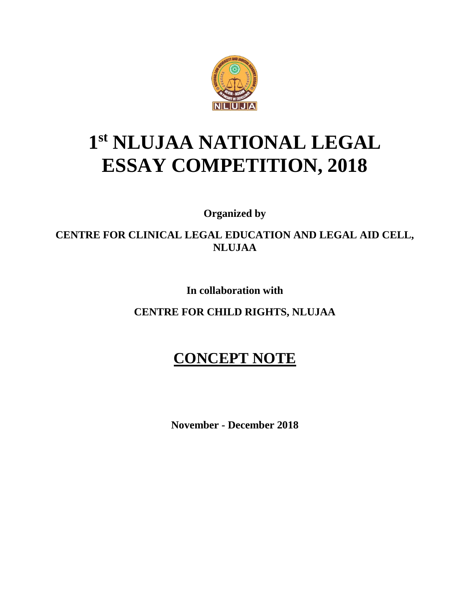

# **1 st NLUJAA NATIONAL LEGAL ESSAY COMPETITION, 2018**

**Organized by**

**CENTRE FOR CLINICAL LEGAL EDUCATION AND LEGAL AID CELL, NLUJAA**

**In collaboration with**

**CENTRE FOR CHILD RIGHTS, NLUJAA**

# **CONCEPT NOTE**

**November - December 2018**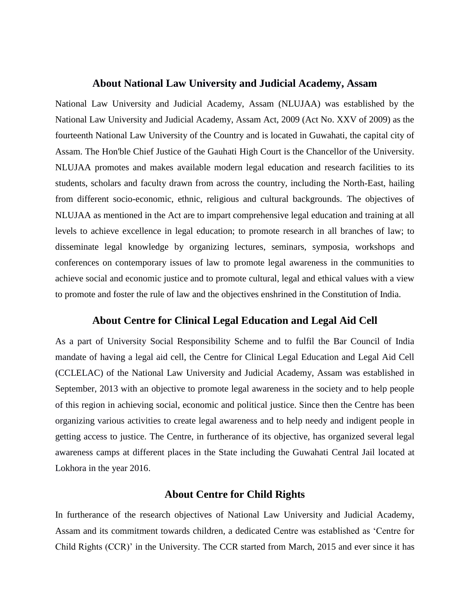#### **About National Law University and Judicial Academy, Assam**

National Law University and Judicial Academy, Assam (NLUJAA) was established by the National Law University and Judicial Academy, Assam Act, 2009 (Act No. XXV of 2009) as the fourteenth National Law University of the Country and is located in Guwahati, the capital city of Assam. The Hon'ble Chief Justice of the Gauhati High Court is the Chancellor of the University. NLUJAA promotes and makes available modern legal education and research facilities to its students, scholars and faculty drawn from across the country, including the North-East, hailing from different socio-economic, ethnic, religious and cultural backgrounds. The objectives of NLUJAA as mentioned in the Act are to impart comprehensive legal education and training at all levels to achieve excellence in legal education; to promote research in all branches of law; to disseminate legal knowledge by organizing lectures, seminars, symposia, workshops and conferences on contemporary issues of law to promote legal awareness in the communities to achieve social and economic justice and to promote cultural, legal and ethical values with a view to promote and foster the rule of law and the objectives enshrined in the Constitution of India.

# **About Centre for Clinical Legal Education and Legal Aid Cell**

As a part of University Social Responsibility Scheme and to fulfil the Bar Council of India mandate of having a legal aid cell, the Centre for Clinical Legal Education and Legal Aid Cell (CCLELAC) of the National Law University and Judicial Academy, Assam was established in September, 2013 with an objective to promote legal awareness in the society and to help people of this region in achieving social, economic and political justice. Since then the Centre has been organizing various activities to create legal awareness and to help needy and indigent people in getting access to justice. The Centre, in furtherance of its objective, has organized several legal awareness camps at different places in the State including the Guwahati Central Jail located at Lokhora in the year 2016.

# **About Centre for Child Rights**

In furtherance of the research objectives of National Law University and Judicial Academy, Assam and its commitment towards children, a dedicated Centre was established as 'Centre for Child Rights (CCR)' in the University. The CCR started from March, 2015 and ever since it has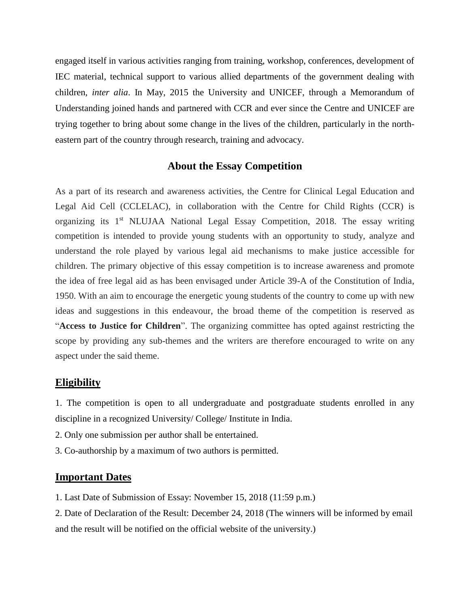engaged itself in various activities ranging from training, workshop, conferences, development of IEC material, technical support to various allied departments of the government dealing with children, *inter alia*. In May, 2015 the University and UNICEF, through a Memorandum of Understanding joined hands and partnered with CCR and ever since the Centre and UNICEF are trying together to bring about some change in the lives of the children, particularly in the northeastern part of the country through research, training and advocacy.

# **About the Essay Competition**

As a part of its research and awareness activities, the Centre for Clinical Legal Education and Legal Aid Cell (CCLELAC), in collaboration with the Centre for Child Rights (CCR) is organizing its 1<sup>st</sup> NLUJAA National Legal Essay Competition, 2018. The essay writing competition is intended to provide young students with an opportunity to study, analyze and understand the role played by various legal aid mechanisms to make justice accessible for children. The primary objective of this essay competition is to increase awareness and promote the idea of free legal aid as has been envisaged under Article 39-A of the Constitution of India, 1950. With an aim to encourage the energetic young students of the country to come up with new ideas and suggestions in this endeavour, the broad theme of the competition is reserved as "**Access to Justice for Children**". The organizing committee has opted against restricting the scope by providing any sub-themes and the writers are therefore encouraged to write on any aspect under the said theme.

#### **Eligibility**

1. The competition is open to all undergraduate and postgraduate students enrolled in any discipline in a recognized University/ College/ Institute in India.

- 2. Only one submission per author shall be entertained.
- 3. Co-authorship by a maximum of two authors is permitted.

# **Important Dates**

1. Last Date of Submission of Essay: November 15, 2018 (11:59 p.m.)

2. Date of Declaration of the Result: December 24, 2018 (The winners will be informed by email and the result will be notified on the official website of the university.)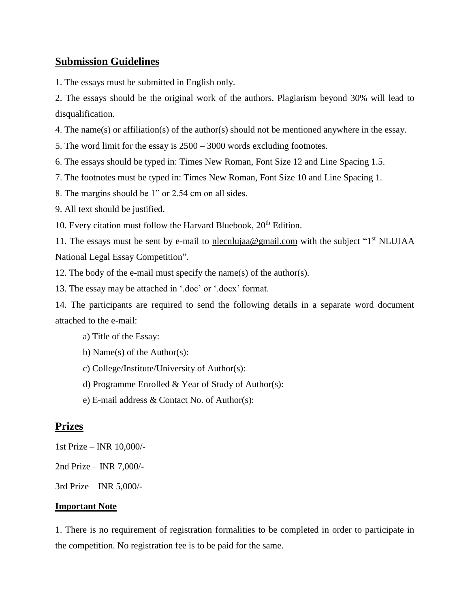# **Submission Guidelines**

1. The essays must be submitted in English only.

2. The essays should be the original work of the authors. Plagiarism beyond 30% will lead to disqualification.

4. The name(s) or affiliation(s) of the author(s) should not be mentioned anywhere in the essay.

5. The word limit for the essay is 2500 – 3000 words excluding footnotes.

6. The essays should be typed in: Times New Roman, Font Size 12 and Line Spacing 1.5.

7. The footnotes must be typed in: Times New Roman, Font Size 10 and Line Spacing 1.

8. The margins should be 1" or 2.54 cm on all sides.

9. All text should be justified.

10. Every citation must follow the Harvard Bluebook,  $20<sup>th</sup>$  Edition.

11. The essays must be sent by e-mail to nlecnlujaa@gmail.com with the subject " $1<sup>st</sup>$  NLUJAA National Legal Essay Competition".

12. The body of the e-mail must specify the name(s) of the author(s).

13. The essay may be attached in '.doc' or '.docx' format.

14. The participants are required to send the following details in a separate word document attached to the e-mail:

a) Title of the Essay:

b) Name(s) of the Author(s):

c) College/Institute/University of Author(s):

d) Programme Enrolled & Year of Study of Author(s):

e) E-mail address & Contact No. of Author(s):

# **Prizes**

1st Prize – INR 10,000/-

2nd Prize – INR 7,000/-

3rd Prize – INR 5,000/-

#### **Important Note**

1. There is no requirement of registration formalities to be completed in order to participate in the competition. No registration fee is to be paid for the same.